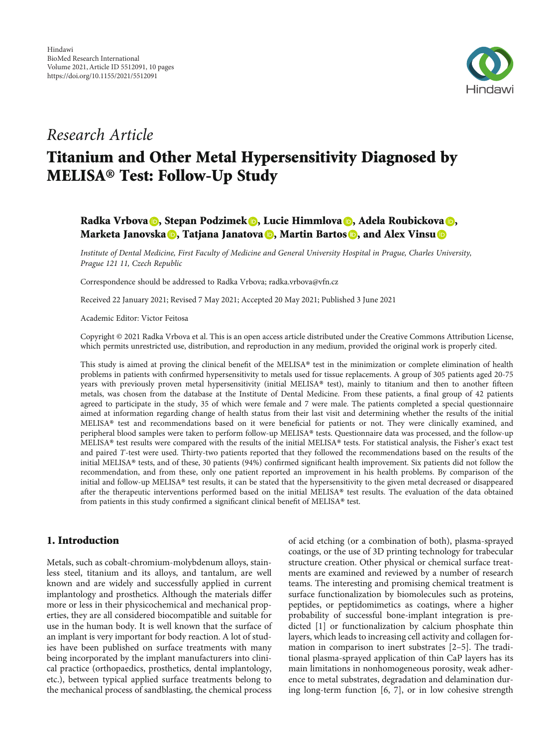

## Research Article

# Titanium and Other Metal Hypersensitivity Diagnosed by MELISA® Test: Follow-Up Study

## Radka Vrbova **D**[,](https://orcid.org/0000-0003-0846-5104) Stepan Podzimek **D**, Lucie Himmlova **D**, Adela Roubickova **D**, Marketa Janovska <mark>©</mark>[,](https://orcid.org/0000-0001-7368-4499) Tatjana Janatova ©, Martin Bartos ©, and Alex Vinsu ©

Institute of Dental Medicine, First Faculty of Medicine and General University Hospital in Prague, Charles University, Prague 121 11, Czech Republic

Correspondence should be addressed to Radka Vrbova; radka.vrbova@vfn.cz

Received 22 January 2021; Revised 7 May 2021; Accepted 20 May 2021; Published 3 June 2021

Academic Editor: Victor Feitosa

Copyright © 2021 Radka Vrbova et al. This is an open access article distributed under the [Creative Commons Attribution License](https://creativecommons.org/licenses/by/4.0/), which permits unrestricted use, distribution, and reproduction in any medium, provided the original work is properly cited.

This study is aimed at proving the clinical benefit of the MELISA® test in the minimization or complete elimination of health problems in patients with confirmed hypersensitivity to metals used for tissue replacements. A group of 305 patients aged 20-75 years with previously proven metal hypersensitivity (initial MELISA® test), mainly to titanium and then to another fifteen metals, was chosen from the database at the Institute of Dental Medicine. From these patients, a final group of 42 patients agreed to participate in the study, 35 of which were female and 7 were male. The patients completed a special questionnaire aimed at information regarding change of health status from their last visit and determining whether the results of the initial MELISA® test and recommendations based on it were beneficial for patients or not. They were clinically examined, and peripheral blood samples were taken to perform follow-up MELISA® tests. Questionnaire data was processed, and the follow-up MELISA® test results were compared with the results of the initial MELISA® tests. For statistical analysis, the Fisher's exact test and paired *T*-test were used. Thirty-two patients reported that they followed the recommendations based on the results of the initial MELISA® tests, and of these, 30 patients (94%) confirmed significant health improvement. Six patients did not follow the recommendation, and from these, only one patient reported an improvement in his health problems. By comparison of the initial and follow-up MELISA® test results, it can be stated that the hypersensitivity to the given metal decreased or disappeared after the therapeutic interventions performed based on the initial MELISA® test results. The evaluation of the data obtained from patients in this study confirmed a significant clinical benefit of MELISA® test.

## 1. Introduction

Metals, such as cobalt-chromium-molybdenum alloys, stainless steel, titanium and its alloys, and tantalum, are well known and are widely and successfully applied in current implantology and prosthetics. Although the materials differ more or less in their physicochemical and mechanical properties, they are all considered biocompatible and suitable for use in the human body. It is well known that the surface of an implant is very important for body reaction. A lot of studies have been published on surface treatments with many being incorporated by the implant manufacturers into clinical practice (orthopaedics, prosthetics, dental implantology, etc.), between typical applied surface treatments belong to the mechanical process of sandblasting, the chemical process

of acid etching (or a combination of both), plasma-sprayed coatings, or the use of 3D printing technology for trabecular structure creation. Other physical or chemical surface treatments are examined and reviewed by a number of research teams. The interesting and promising chemical treatment is surface functionalization by biomolecules such as proteins, peptides, or peptidomimetics as coatings, where a higher probability of successful bone-implant integration is predicted [\[1\]](#page-6-0) or functionalization by calcium phosphate thin layers, which leads to increasing cell activity and collagen formation in comparison to inert substrates [\[2](#page-6-0)–[5](#page-6-0)]. The traditional plasma-sprayed application of thin CaP layers has its main limitations in nonhomogeneous porosity, weak adherence to metal substrates, degradation and delamination during long-term function [[6, 7\]](#page-6-0), or in low cohesive strength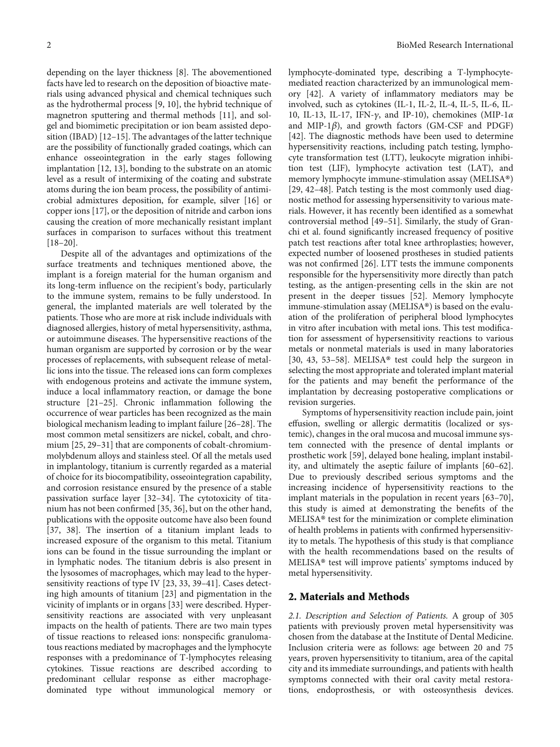depending on the layer thickness [[8\]](#page-6-0). The abovementioned facts have led to research on the deposition of bioactive materials using advanced physical and chemical techniques such as the hydrothermal process [\[9](#page-6-0), [10\]](#page-6-0), the hybrid technique of magnetron sputtering and thermal methods [\[11\]](#page-6-0), and solgel and biomimetic precipitation or ion beam assisted deposition (IBAD) [[12](#page-6-0)–[15](#page-7-0)]. The advantages of the latter technique are the possibility of functionally graded coatings, which can enhance osseointegration in the early stages following implantation [[12](#page-6-0), [13](#page-6-0)], bonding to the substrate on an atomic level as a result of intermixing of the coating and substrate atoms during the ion beam process, the possibility of antimicrobial admixtures deposition, for example, silver [[16](#page-7-0)] or copper ions [[17](#page-7-0)], or the deposition of nitride and carbon ions causing the creation of more mechanically resistant implant surfaces in comparison to surfaces without this treatment [\[18](#page-7-0)–[20\]](#page-7-0).

Despite all of the advantages and optimizations of the surface treatments and techniques mentioned above, the implant is a foreign material for the human organism and its long-term influence on the recipient's body, particularly to the immune system, remains to be fully understood. In general, the implanted materials are well tolerated by the patients. Those who are more at risk include individuals with diagnosed allergies, history of metal hypersensitivity, asthma, or autoimmune diseases. The hypersensitive reactions of the human organism are supported by corrosion or by the wear processes of replacements, with subsequent release of metallic ions into the tissue. The released ions can form complexes with endogenous proteins and activate the immune system, induce a local inflammatory reaction, or damage the bone structure [\[21](#page-7-0)–[25](#page-7-0)]. Chronic inflammation following the occurrence of wear particles has been recognized as the main biological mechanism leading to implant failure [\[26](#page-7-0)–[28\]](#page-7-0). The most common metal sensitizers are nickel, cobalt, and chromium [[25](#page-7-0), [29](#page-7-0)–[31](#page-7-0)] that are components of cobalt-chromiummolybdenum alloys and stainless steel. Of all the metals used in implantology, titanium is currently regarded as a material of choice for its biocompatibility, osseointegration capability, and corrosion resistance ensured by the presence of a stable passivation surface layer [[32](#page-7-0)–[34](#page-7-0)]. The cytotoxicity of titanium has not been confirmed [[35](#page-7-0), [36](#page-7-0)], but on the other hand, publications with the opposite outcome have also been found [\[37](#page-7-0), [38\]](#page-7-0). The insertion of a titanium implant leads to increased exposure of the organism to this metal. Titanium ions can be found in the tissue surrounding the implant or in lymphatic nodes. The titanium debris is also present in the lysosomes of macrophages, which may lead to the hypersensitivity reactions of type IV [[23](#page-7-0), [33](#page-7-0), [39](#page-7-0)–[41\]](#page-7-0). Cases detecting high amounts of titanium [\[23](#page-7-0)] and pigmentation in the vicinity of implants or in organs [\[33\]](#page-7-0) were described. Hypersensitivity reactions are associated with very unpleasant impacts on the health of patients. There are two main types of tissue reactions to released ions: nonspecific granulomatous reactions mediated by macrophages and the lymphocyte responses with a predominance of T-lymphocytes releasing cytokines. Tissue reactions are described according to predominant cellular response as either macrophagedominated type without immunological memory or

lymphocyte-dominated type, describing a T-lymphocytemediated reaction characterized by an immunological memory [\[42](#page-7-0)]. A variety of inflammatory mediators may be involved, such as cytokines (IL-1, IL-2, IL-4, IL-5, IL-6, IL-10, IL-13, IL-17, IFN-*γ*, and IP-10), chemokines (MIP-1*α* and MIP-1*β*), and growth factors (GM-CSF and PDGF) [\[42\]](#page-7-0). The diagnostic methods have been used to determine hypersensitivity reactions, including patch testing, lymphocyte transformation test (LTT), leukocyte migration inhibition test (LIF), lymphocyte activation test (LAT), and memory lymphocyte immune-stimulation assay (MELISA®) [\[29](#page-7-0), [42](#page-7-0)–[48](#page-8-0)]. Patch testing is the most commonly used diagnostic method for assessing hypersensitivity to various materials. However, it has recently been identified as a somewhat controversial method [\[49](#page-8-0)–[51](#page-8-0)]. Similarly, the study of Granchi et al. found significantly increased frequency of positive patch test reactions after total knee arthroplasties; however, expected number of loosened prostheses in studied patients was not confirmed [\[26\]](#page-7-0). LTT tests the immune components responsible for the hypersensitivity more directly than patch testing, as the antigen-presenting cells in the skin are not present in the deeper tissues [[52](#page-8-0)]. Memory lymphocyte immune-stimulation assay (MELISA®) is based on the evaluation of the proliferation of peripheral blood lymphocytes in vitro after incubation with metal ions. This test modification for assessment of hypersensitivity reactions to various metals or nonmetal materials is used in many laboratories [\[30, 43](#page-7-0), [53](#page-8-0)–[58\]](#page-8-0). MELISA® test could help the surgeon in selecting the most appropriate and tolerated implant material for the patients and may benefit the performance of the implantation by decreasing postoperative complications or revision surgeries.

Symptoms of hypersensitivity reaction include pain, joint effusion, swelling or allergic dermatitis (localized or systemic), changes in the oral mucosa and mucosal immune system connected with the presence of dental implants or prosthetic work [[59](#page-8-0)], delayed bone healing, implant instability, and ultimately the aseptic failure of implants [\[60](#page-8-0)–[62](#page-8-0)]. Due to previously described serious symptoms and the increasing incidence of hypersensitivity reactions to the implant materials in the population in recent years [\[63](#page-8-0)–[70](#page-8-0)], this study is aimed at demonstrating the benefits of the MELISA® test for the minimization or complete elimination of health problems in patients with confirmed hypersensitivity to metals. The hypothesis of this study is that compliance with the health recommendations based on the results of MELISA® test will improve patients' symptoms induced by metal hypersensitivity.

#### 2. Materials and Methods

2.1. Description and Selection of Patients. A group of 305 patients with previously proven metal hypersensitivity was chosen from the database at the Institute of Dental Medicine. Inclusion criteria were as follows: age between 20 and 75 years, proven hypersensitivity to titanium, area of the capital city and its immediate surroundings, and patients with health symptoms connected with their oral cavity metal restorations, endoprosthesis, or with osteosynthesis devices.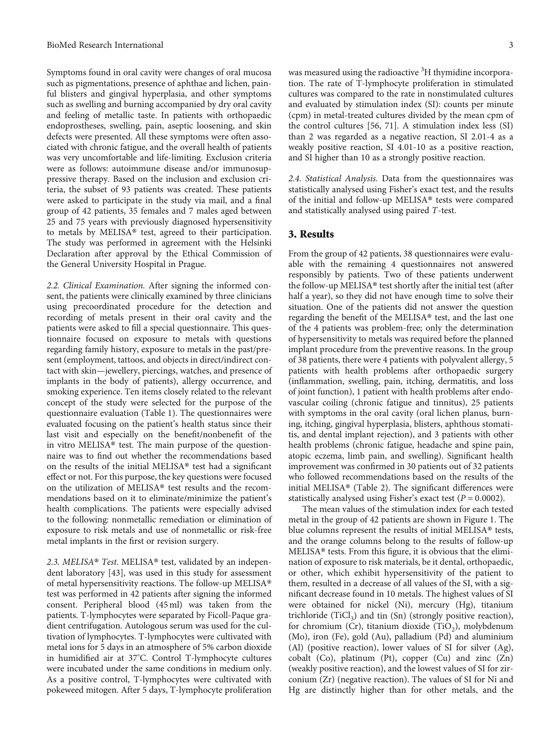Symptoms found in oral cavity were changes of oral mucosa such as pigmentations, presence of aphthae and lichen, painful blisters and gingival hyperplasia, and other symptoms such as swelling and burning accompanied by dry oral cavity and feeling of metallic taste. In patients with orthopaedic endoprostheses, swelling, pain, aseptic loosening, and skin defects were presented. All these symptoms were often associated with chronic fatigue, and the overall health of patients was very uncomfortable and life-limiting. Exclusion criteria were as follows: autoimmune disease and/or immunosuppressive therapy. Based on the inclusion and exclusion criteria, the subset of 93 patients was created. These patients were asked to participate in the study via mail, and a final group of 42 patients, 35 females and 7 males aged between 25 and 75 years with previously diagnosed hypersensitivity to metals by MELISA® test, agreed to their participation. The study was performed in agreement with the Helsinki Declaration after approval by the Ethical Commission of the General University Hospital in Prague.

2.2. Clinical Examination. After signing the informed consent, the patients were clinically examined by three clinicians using precoordinated procedure for the detection and recording of metals present in their oral cavity and the patients were asked to fill a special questionnaire. This questionnaire focused on exposure to metals with questions regarding family history, exposure to metals in the past/present (employment, tattoos, and objects in direct/indirect contact with skin—jewellery, piercings, watches, and presence of implants in the body of patients), allergy occurrence, and smoking experience. Ten items closely related to the relevant concept of the study were selected for the purpose of the questionnaire evaluation (Table [1\)](#page-3-0). The questionnaires were evaluated focusing on the patient's health status since their last visit and especially on the benefit/nonbenefit of the in vitro MELISA® test. The main purpose of the questionnaire was to find out whether the recommendations based on the results of the initial MELISA® test had a significant effect or not. For this purpose, the key questions were focused on the utilization of MELISA® test results and the recommendations based on it to eliminate/minimize the patient's health complications. The patients were especially advised to the following: nonmetallic remediation or elimination of exposure to risk metals and use of nonmetallic or risk-free metal implants in the first or revision surgery.

2.3. MELISA® Test. MELISA® test, validated by an independent laboratory [\[43\]](#page-7-0), was used in this study for assessment of metal hypersensitivity reactions. The follow-up MELISA® test was performed in 42 patients after signing the informed consent. Peripheral blood (45 ml) was taken from the patients. T-lymphocytes were separated by Ficoll-Paque gradient centrifugation. Autologous serum was used for the cultivation of lymphocytes. T-lymphocytes were cultivated with metal ions for 5 days in an atmosphere of 5% carbon dioxide in humidified air at 37° C. Control T-lymphocyte cultures were incubated under the same conditions in medium only. As a positive control, T-lymphocytes were cultivated with pokeweed mitogen. After 5 days, T-lymphocyte proliferation

was measured using the radioactive <sup>3</sup>H thymidine incorporation. The rate of T-lymphocyte proliferation in stimulated cultures was compared to the rate in nonstimulated cultures and evaluated by stimulation index (SI): counts per minute (cpm) in metal-treated cultures divided by the mean cpm of the control cultures [[56](#page-8-0), [71\]](#page-8-0). A stimulation index less (SI) than 2 was regarded as a negative reaction, SI 2.01-4 as a weakly positive reaction, SI 4.01-10 as a positive reaction, and SI higher than 10 as a strongly positive reaction.

2.4. Statistical Analysis. Data from the questionnaires was statistically analysed using Fisher's exact test, and the results of the initial and follow-up MELISA® tests were compared and statistically analysed using paired *T*-test.

### 3. Results

From the group of 42 patients, 38 questionnaires were evaluable with the remaining 4 questionnaires not answered responsibly by patients. Two of these patients underwent the follow-up MELISA® test shortly after the initial test (after half a year), so they did not have enough time to solve their situation. One of the patients did not answer the question regarding the benefit of the MELISA® test, and the last one of the 4 patients was problem-free; only the determination of hypersensitivity to metals was required before the planned implant procedure from the preventive reasons. In the group of 38 patients, there were 4 patients with polyvalent allergy, 5 patients with health problems after orthopaedic surgery (inflammation, swelling, pain, itching, dermatitis, and loss of joint function), 1 patient with health problems after endovascular coiling (chronic fatigue and tinnitus), 25 patients with symptoms in the oral cavity (oral lichen planus, burning, itching, gingival hyperplasia, blisters, aphthous stomatitis, and dental implant rejection), and 3 patients with other health problems (chronic fatigue, headache and spine pain, atopic eczema, limb pain, and swelling). Significant health improvement was confirmed in 30 patients out of 32 patients who followed recommendations based on the results of the initial MELISA® (Table [2\)](#page-3-0). The significant differences were statistically analysed using Fisher's exact test (*P* = 0*:*0002).

The mean values of the stimulation index for each tested metal in the group of 42 patients are shown in Figure [1.](#page-4-0) The blue columns represent the results of initial MELISA® tests, and the orange columns belong to the results of follow-up MELISA® tests. From this figure, it is obvious that the elimination of exposure to risk materials, be it dental, orthopaedic, or other, which exhibit hypersensitivity of the patient to them, resulted in a decrease of all values of the SI, with a significant decrease found in 10 metals. The highest values of SI were obtained for nickel (Ni), mercury (Hg), titanium trichloride  $(TiCl<sub>3</sub>)$  and tin  $(Sn)$  (strongly positive reaction), for chromium (Cr), titanium dioxide (TiO<sub>2</sub>), molybdenum (Mo), iron (Fe), gold (Au), palladium (Pd) and aluminium (Al) (positive reaction), lower values of SI for silver (Ag), cobalt (Co), platinum (Pt), copper (Cu) and zinc (Zn) (weakly positive reaction), and the lowest values of SI for zirconium (Zr) (negative reaction). The values of SI for Ni and Hg are distinctly higher than for other metals, and the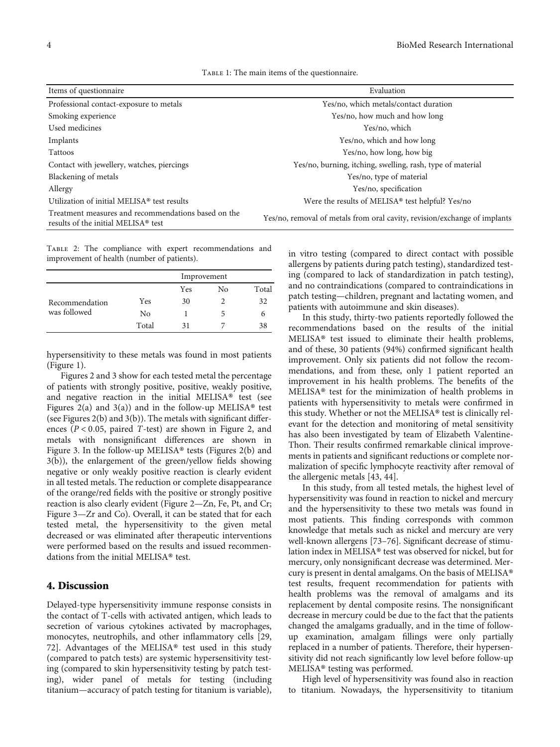| TABLE 1: The main items of the questionnaire. |  |  |  |  |  |
|-----------------------------------------------|--|--|--|--|--|
|                                               |  |  |  |  |  |

<span id="page-3-0"></span>

| Items of questionnaire                                                                     | Evaluation                                                                |  |  |  |
|--------------------------------------------------------------------------------------------|---------------------------------------------------------------------------|--|--|--|
| Professional contact-exposure to metals                                                    | Yes/no, which metals/contact duration                                     |  |  |  |
| Smoking experience                                                                         | Yes/no, how much and how long                                             |  |  |  |
| Used medicines                                                                             | Yes/no, which                                                             |  |  |  |
| Implants                                                                                   | Yes/no, which and how long                                                |  |  |  |
| Tattoos                                                                                    | Yes/no, how long, how big                                                 |  |  |  |
| Contact with jewellery, watches, piercings                                                 | Yes/no, burning, itching, swelling, rash, type of material                |  |  |  |
| Blackening of metals                                                                       | Yes/no, type of material                                                  |  |  |  |
| Allergy                                                                                    | Yes/no, specification                                                     |  |  |  |
| Utilization of initial MELISA® test results                                                | Were the results of MELISA <sup>®</sup> test helpful? Yes/no              |  |  |  |
| Treatment measures and recommendations based on the<br>results of the initial MELISA® test | Yes/no, removal of metals from oral cavity, revision/exchange of implants |  |  |  |

TABLE 2: The compliance with expert recommendations and improvement of health (number of patients).

|                |       | Improvement |    |       |  |  |  |
|----------------|-------|-------------|----|-------|--|--|--|
|                |       | Yes         | No | Total |  |  |  |
| Recommendation | Yes   | 30          | 2  | 32    |  |  |  |
| was followed   | No    |             | 5  |       |  |  |  |
|                | Total | 31          |    |       |  |  |  |

hypersensitivity to these metals was found in most patients (Figure [1](#page-4-0)).

Figures [2](#page-4-0) and [3](#page-5-0) show for each tested metal the percentage of patients with strongly positive, positive, weakly positive, and negative reaction in the initial MELISA® test (see Figures [2\(](#page-4-0)a) and [3](#page-5-0)(a)) and in the follow-up MELISA<sup>®</sup> test (see Figures [2](#page-4-0)(b) and [3\(](#page-5-0)b)). The metals with significant differences (*P* < 0*:*05, paired *T*-test) are shown in Figure [2,](#page-4-0) and metals with nonsignificant differences are shown in Figure [3](#page-5-0). In the follow-up MELISA® tests (Figures [2](#page-4-0)(b) and [3\(](#page-5-0)b)), the enlargement of the green/yellow fields showing negative or only weakly positive reaction is clearly evident in all tested metals. The reduction or complete disappearance of the orange/red fields with the positive or strongly positive reaction is also clearly evident (Figure [2](#page-4-0)—Zn, Fe, Pt, and Cr; Figure [3](#page-5-0)—Zr and Co). Overall, it can be stated that for each tested metal, the hypersensitivity to the given metal decreased or was eliminated after therapeutic interventions were performed based on the results and issued recommendations from the initial MELISA® test.

#### 4. Discussion

Delayed-type hypersensitivity immune response consists in the contact of T-cells with activated antigen, which leads to secretion of various cytokines activated by macrophages, monocytes, neutrophils, and other inflammatory cells [\[29,](#page-7-0) [72\]](#page-8-0). Advantages of the MELISA® test used in this study (compared to patch tests) are systemic hypersensitivity testing (compared to skin hypersensitivity testing by patch testing), wider panel of metals for testing (including titanium—accuracy of patch testing for titanium is variable),

in vitro testing (compared to direct contact with possible allergens by patients during patch testing), standardized testing (compared to lack of standardization in patch testing), and no contraindications (compared to contraindications in patch testing—children, pregnant and lactating women, and patients with autoimmune and skin diseases).

In this study, thirty-two patients reportedly followed the recommendations based on the results of the initial MELISA® test issued to eliminate their health problems, and of these, 30 patients (94%) confirmed significant health improvement. Only six patients did not follow the recommendations, and from these, only 1 patient reported an improvement in his health problems. The benefits of the MELISA® test for the minimization of health problems in patients with hypersensitivity to metals were confirmed in this study. Whether or not the MELISA® test is clinically relevant for the detection and monitoring of metal sensitivity has also been investigated by team of Elizabeth Valentine-Thon. Their results confirmed remarkable clinical improvements in patients and significant reductions or complete normalization of specific lymphocyte reactivity after removal of the allergenic metals [\[43, 44](#page-7-0)].

In this study, from all tested metals, the highest level of hypersensitivity was found in reaction to nickel and mercury and the hypersensitivity to these two metals was found in most patients. This finding corresponds with common knowledge that metals such as nickel and mercury are very well-known allergens [[73](#page-8-0)–[76\]](#page-8-0). Significant decrease of stimulation index in MELISA® test was observed for nickel, but for mercury, only nonsignificant decrease was determined. Mercury is present in dental amalgams. On the basis of MELISA® test results, frequent recommendation for patients with health problems was the removal of amalgams and its replacement by dental composite resins. The nonsignificant decrease in mercury could be due to the fact that the patients changed the amalgams gradually, and in the time of followup examination, amalgam fillings were only partially replaced in a number of patients. Therefore, their hypersensitivity did not reach significantly low level before follow-up MELISA® testing was performed.

High level of hypersensitivity was found also in reaction to titanium. Nowadays, the hypersensitivity to titanium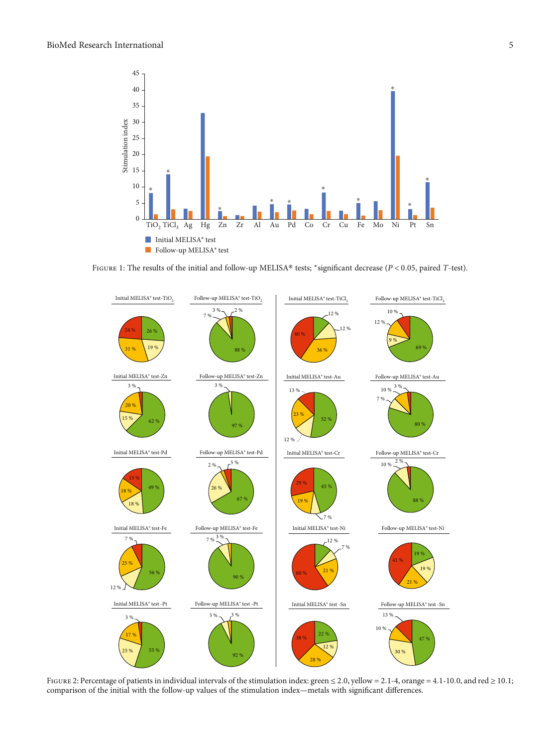<span id="page-4-0"></span>

Figure 1: The results of the initial and follow-up MELISA® tests; <sup>∗</sup>significant decrease (*<sup>P</sup>* < 0*:*05, paired *<sup>T</sup>*-test).



Figure 2: Percentage of patients in individual intervals of the stimulation index: green <sup>≤</sup> <sup>2</sup>*:*0, yellow = 2*:*1‐4, orange = 4*:*1‐10*:*0, and red <sup>≥</sup> <sup>10</sup>*:*1; comparison of the initial with the follow-up values of the stimulation index—metals with significant differences.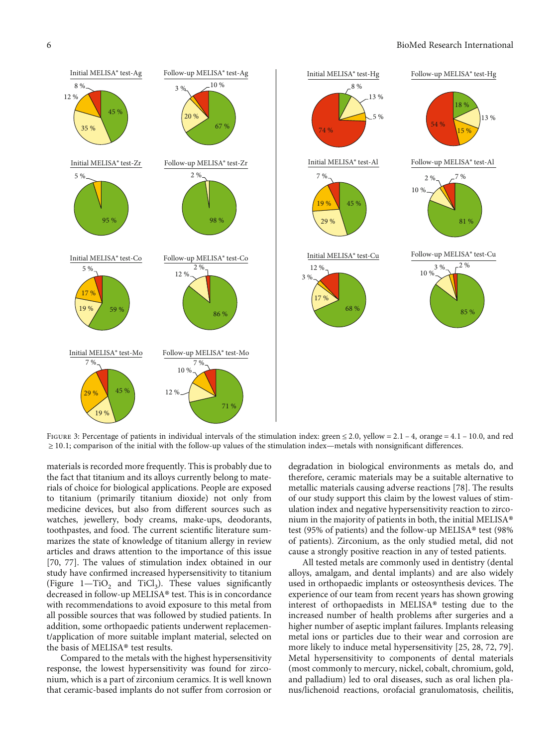<span id="page-5-0"></span>

Figure 3: Percentage of patients in individual intervals of the stimulation index: green <sup>≤</sup> <sup>2</sup>*:*0, yellow = 2*:*<sup>1</sup> – <sup>4</sup>, orange = 4*:*<sup>1</sup> – <sup>10</sup>*:*0, and red ≥ 10*:*1; comparison of the initial with the follow-up values of the stimulation index—metals with nonsignificant differences.

materials is recorded more frequently. This is probably due to the fact that titanium and its alloys currently belong to materials of choice for biological applications. People are exposed to titanium (primarily titanium dioxide) not only from medicine devices, but also from different sources such as watches, jewellery, body creams, make-ups, deodorants, toothpastes, and food. The current scientific literature summarizes the state of knowledge of titanium allergy in review articles and draws attention to the importance of this issue [\[70](#page-8-0), [77](#page-8-0)]. The values of stimulation index obtained in our study have confirmed increased hypersensitivity to titanium (Figure  $1-\text{TiO}_2$  and TiCl<sub>3</sub>). These values significantly decreased in follow-up MELISA® test. This is in concordance with recommendations to avoid exposure to this metal from all possible sources that was followed by studied patients. In addition, some orthopaedic patients underwent replacement/application of more suitable implant material, selected on the basis of MELISA® test results.

Compared to the metals with the highest hypersensitivity response, the lowest hypersensitivity was found for zirconium, which is a part of zirconium ceramics. It is well known that ceramic-based implants do not suffer from corrosion or

degradation in biological environments as metals do, and therefore, ceramic materials may be a suitable alternative to metallic materials causing adverse reactions [\[78](#page-9-0)]. The results of our study support this claim by the lowest values of stimulation index and negative hypersensitivity reaction to zirconium in the majority of patients in both, the initial MELISA® test (95% of patients) and the follow-up MELISA® test (98% of patients). Zirconium, as the only studied metal, did not cause a strongly positive reaction in any of tested patients.

All tested metals are commonly used in dentistry (dental alloys, amalgam, and dental implants) and are also widely used in orthopaedic implants or osteosynthesis devices. The experience of our team from recent years has shown growing interest of orthopaedists in MELISA® testing due to the increased number of health problems after surgeries and a higher number of aseptic implant failures. Implants releasing metal ions or particles due to their wear and corrosion are more likely to induce metal hypersensitivity [\[25, 28](#page-7-0), [72,](#page-8-0) [79](#page-9-0)]. Metal hypersensitivity to components of dental materials (most commonly to mercury, nickel, cobalt, chromium, gold, and palladium) led to oral diseases, such as oral lichen planus/lichenoid reactions, orofacial granulomatosis, cheilitis,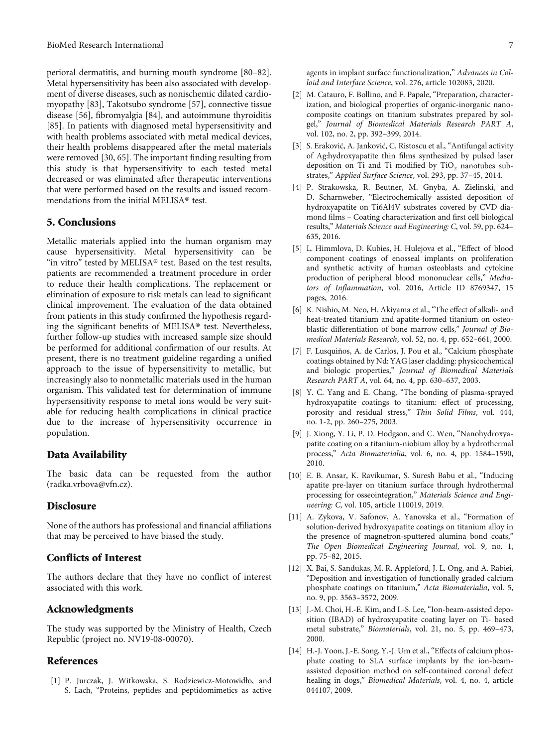<span id="page-6-0"></span>perioral dermatitis, and burning mouth syndrome [\[80](#page-9-0)–[82](#page-9-0)]. Metal hypersensitivity has been also associated with development of diverse diseases, such as nonischemic dilated cardiomyopathy [\[83\]](#page-9-0), Takotsubo syndrome [\[57\]](#page-8-0), connective tissue disease [\[56\]](#page-8-0), fibromyalgia [\[84\]](#page-9-0), and autoimmune thyroiditis [\[85](#page-9-0)]. In patients with diagnosed metal hypersensitivity and with health problems associated with metal medical devices, their health problems disappeared after the metal materials were removed [[30](#page-7-0), [65](#page-8-0)]. The important finding resulting from this study is that hypersensitivity to each tested metal decreased or was eliminated after therapeutic interventions that were performed based on the results and issued recommendations from the initial MELISA® test.

## 5. Conclusions

Metallic materials applied into the human organism may cause hypersensitivity. Metal hypersensitivity can be "in vitro" tested by MELISA® test. Based on the test results, patients are recommended a treatment procedure in order to reduce their health complications. The replacement or elimination of exposure to risk metals can lead to significant clinical improvement. The evaluation of the data obtained from patients in this study confirmed the hypothesis regarding the significant benefits of MELISA® test. Nevertheless, further follow-up studies with increased sample size should be performed for additional confirmation of our results. At present, there is no treatment guideline regarding a unified approach to the issue of hypersensitivity to metallic, but increasingly also to nonmetallic materials used in the human organism. This validated test for determination of immune hypersensitivity response to metal ions would be very suitable for reducing health complications in clinical practice due to the increase of hypersensitivity occurrence in population.

## Data Availability

The basic data can be requested from the author (radka.vrbova@vfn.cz).

#### **Disclosure**

None of the authors has professional and financial affiliations that may be perceived to have biased the study.

## Conflicts of Interest

The authors declare that they have no conflict of interest associated with this work.

#### Acknowledgments

The study was supported by the Ministry of Health, Czech Republic (project no. NV19-08-00070).

## References

[1] P. Jurczak, J. Witkowska, S. Rodziewicz-Motowidło, and S. Lach, "Proteins, peptides and peptidomimetics as active agents in implant surface functionalization," Advances in Colloid and Interface Science, vol. 276, article 102083, 2020.

- [2] M. Catauro, F. Bollino, and F. Papale, "Preparation, characterization, and biological properties of organic-inorganic nanocomposite coatings on titanium substrates prepared by solgel," Journal of Biomedical Materials Research PART A, vol. 102, no. 2, pp. 392–399, 2014.
- [3] S. Eraković, A. Janković, C. Ristoscu et al., "Antifungal activity of Ag:hydroxyapatite thin films synthesized by pulsed laser deposition on Ti and Ti modified by TiO<sub>2</sub> nanotubes substrates," Applied Surface Science, vol. 293, pp. 37–45, 2014.
- [4] P. Strakowska, R. Beutner, M. Gnyba, A. Zielinski, and D. Scharnweber, "Electrochemically assisted deposition of hydroxyapatite on Ti6Al4V substrates covered by CVD diamond films – Coating characterization and first cell biological results," Materials Science and Engineering: C, vol. 59, pp. 624– 635, 2016.
- [5] L. Himmlova, D. Kubies, H. Hulejova et al., "Effect of blood component coatings of enosseal implants on proliferation and synthetic activity of human osteoblasts and cytokine production of peripheral blood mononuclear cells," Mediators of Inflammation, vol. 2016, Article ID 8769347, 15 pages, 2016.
- [6] K. Nishio, M. Neo, H. Akiyama et al., "The effect of alkali- and heat-treated titanium and apatite-formed titanium on osteoblastic differentiation of bone marrow cells," Journal of Biomedical Materials Research, vol. 52, no. 4, pp. 652–661, 2000.
- [7] F. Lusquiños, A. de Carlos, J. Pou et al., "Calcium phosphate coatings obtained by Nd: YAG laser cladding: physicochemical and biologic properties," Journal of Biomedical Materials Research PART A, vol. 64, no. 4, pp. 630–637, 2003.
- [8] Y. C. Yang and E. Chang, "The bonding of plasma-sprayed hydroxyapatite coatings to titanium: effect of processing, porosity and residual stress," Thin Solid Films, vol. 444, no. 1-2, pp. 260–275, 2003.
- [9] J. Xiong, Y. Li, P. D. Hodgson, and C. Wen, "Nanohydroxyapatite coating on a titanium-niobium alloy by a hydrothermal process," Acta Biomaterialia, vol. 6, no. 4, pp. 1584–1590, 2010.
- [10] E. B. Ansar, K. Ravikumar, S. Suresh Babu et al., "Inducing apatite pre-layer on titanium surface through hydrothermal processing for osseointegration," Materials Science and Engineering: C, vol. 105, article 110019, 2019.
- [11] A. Zykova, V. Safonov, A. Yanovska et al., "Formation of solution-derived hydroxyapatite coatings on titanium alloy in the presence of magnetron-sputtered alumina bond coats," The Open Biomedical Engineering Journal, vol. 9, no. 1, pp. 75–82, 2015.
- [12] X. Bai, S. Sandukas, M. R. Appleford, J. L. Ong, and A. Rabiei, "Deposition and investigation of functionally graded calcium phosphate coatings on titanium," Acta Biomaterialia, vol. 5, no. 9, pp. 3563–3572, 2009.
- [13] J.-M. Choi, H.-E. Kim, and I.-S. Lee, "Ion-beam-assisted deposition (IBAD) of hydroxyapatite coating layer on Ti- based metal substrate," Biomaterials, vol. 21, no. 5, pp. 469–473, 2000.
- [14] H.-J. Yoon, J.-E. Song, Y.-J. Um et al., "Effects of calcium phosphate coating to SLA surface implants by the ion-beamassisted deposition method on self-contained coronal defect healing in dogs," Biomedical Materials, vol. 4, no. 4, article 044107, 2009.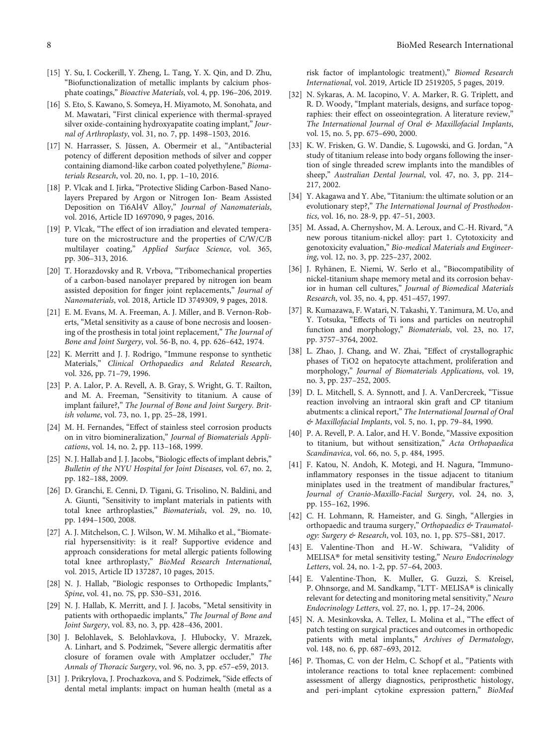- <span id="page-7-0"></span>[16] S. Eto, S. Kawano, S. Someya, H. Miyamoto, M. Sonohata, and M. Mawatari, "First clinical experience with thermal-sprayed silver oxide-containing hydroxyapatite coating implant," Journal of Arthroplasty, vol. 31, no. 7, pp. 1498–1503, 2016.
- [17] N. Harrasser, S. Jüssen, A. Obermeir et al., "Antibacterial potency of different deposition methods of silver and copper containing diamond-like carbon coated polyethylene," Biomaterials Research, vol. 20, no. 1, pp. 1–10, 2016.
- [18] P. Vlcak and I. Jirka, "Protective Sliding Carbon-Based Nanolayers Prepared by Argon or Nitrogen Ion- Beam Assisted Deposition on Ti6Al4V Alloy," Journal of Nanomaterials, vol. 2016, Article ID 1697090, 9 pages, 2016.
- [19] P. Vlcak, "The effect of ion irradiation and elevated temperature on the microstructure and the properties of C/W/C/B multilayer coating," Applied Surface Science, vol. 365, pp. 306–313, 2016.
- [20] T. Horazdovsky and R. Vrbova, "Tribomechanical properties of a carbon-based nanolayer prepared by nitrogen ion beam assisted deposition for finger joint replacements," Journal of Nanomaterials, vol. 2018, Article ID 3749309, 9 pages, 2018.
- [21] E. M. Evans, M. A. Freeman, A. J. Miller, and B. Vernon-Roberts, "Metal sensitivity as a cause of bone necrosis and loosening of the prosthesis in total joint replacement," The Journal of Bone and Joint Surgery, vol. 56-B, no. 4, pp. 626–642, 1974.
- [22] K. Merritt and J. J. Rodrigo, "Immune response to synthetic Materials," Clinical Orthopaedics and Related Research, vol. 326, pp. 71–79, 1996.
- [23] P. A. Lalor, P. A. Revell, A. B. Gray, S. Wright, G. T. Railton, and M. A. Freeman, "Sensitivity to titanium. A cause of implant failure?," The Journal of Bone and Joint Surgery. British volume, vol. 73, no. 1, pp. 25–28, 1991.
- [24] M. H. Fernandes, "Effect of stainless steel corrosion products on in vitro biomineralization," Journal of Biomaterials Applications, vol. 14, no. 2, pp. 113–168, 1999.
- [25] N. J. Hallab and J. J. Jacobs, "Biologic effects of implant debris," Bulletin of the NYU Hospital for Joint Diseases, vol. 67, no. 2, pp. 182–188, 2009.
- [26] D. Granchi, E. Cenni, D. Tigani, G. Trisolino, N. Baldini, and A. Giunti, "Sensitivity to implant materials in patients with total knee arthroplasties," Biomaterials, vol. 29, no. 10, pp. 1494–1500, 2008.
- [27] A. J. Mitchelson, C. J. Wilson, W. M. Mihalko et al., "Biomaterial hypersensitivity: is it real? Supportive evidence and approach considerations for metal allergic patients following total knee arthroplasty," BioMed Research International, vol. 2015, Article ID 137287, 10 pages, 2015.
- [28] N. J. Hallab, "Biologic responses to Orthopedic Implants," Spine, vol. 41, no. 7S, pp. S30–S31, 2016.
- [29] N. J. Hallab, K. Merritt, and J. J. Jacobs, "Metal sensitivity in patients with orthopaedic implants," The Journal of Bone and Joint Surgery, vol. 83, no. 3, pp. 428–436, 2001.
- [30] J. Belohlavek, S. Belohlavkova, J. Hlubocky, V. Mrazek, A. Linhart, and S. Podzimek, "Severe allergic dermatitis after closure of foramen ovale with Amplatzer occluder," The Annals of Thoracic Surgery, vol. 96, no. 3, pp. e57–e59, 2013.
- [31] J. Prikrylova, J. Prochazkova, and S. Podzimek, "Side effects of dental metal implants: impact on human health (metal as a
- [32] N. Sykaras, A. M. Iacopino, V. A. Marker, R. G. Triplett, and R. D. Woody, "Implant materials, designs, and surface topographies: their effect on osseointegration. A literature review," The International Journal of Oral & Maxillofacial Implants, vol. 15, no. 5, pp. 675–690, 2000.
- [33] K. W. Frisken, G. W. Dandie, S. Lugowski, and G. Jordan, "A study of titanium release into body organs following the insertion of single threaded screw implants into the mandibles of sheep," Australian Dental Journal, vol. 47, no. 3, pp. 214– 217, 2002.
- [34] Y. Akagawa and Y. Abe, "Titanium: the ultimate solution or an evolutionary step?," The International Journal of Prosthodontics, vol. 16, no. 28-9, pp. 47–51, 2003.
- [35] M. Assad, A. Chernyshov, M. A. Leroux, and C.-H. Rivard, "A new porous titanium-nickel alloy: part 1. Cytotoxicity and genotoxicity evaluation," Bio-medical Materials and Engineering, vol. 12, no. 3, pp. 225–237, 2002.
- [36] J. Ryhänen, E. Niemi, W. Serlo et al., "Biocompatibility of nickel-titanium shape memory metal and its corrosion behavior in human cell cultures," Journal of Biomedical Materials Research, vol. 35, no. 4, pp. 451–457, 1997.
- [37] R. Kumazawa, F. Watari, N. Takashi, Y. Tanimura, M. Uo, and Y. Totsuka, "Effects of Ti ions and particles on neutrophil function and morphology," Biomaterials, vol. 23, no. 17, pp. 3757–3764, 2002.
- [38] L. Zhao, J. Chang, and W. Zhai, "Effect of crystallographic phases of TiO2 on hepatocyte attachment, proliferation and morphology," Journal of Biomaterials Applications, vol. 19, no. 3, pp. 237–252, 2005.
- [39] D. L. Mitchell, S. A. Synnott, and J. A. VanDercreek, "Tissue reaction involving an intraoral skin graft and CP titanium abutments: a clinical report," The International Journal of Oral & Maxillofacial Implants, vol. 5, no. 1, pp. 79–84, 1990.
- [40] P. A. Revell, P. A. Lalor, and H. V. Bonde, "Massive exposition to titanium, but without sensitization," Acta Orthopaedica Scandinavica, vol. 66, no. 5, p. 484, 1995.
- [41] F. Katou, N. Andoh, K. Motegi, and H. Nagura, "Immunoinflammatory responses in the tissue adjacent to titanium miniplates used in the treatment of mandibular fractures," Journal of Cranio-Maxillo-Facial Surgery, vol. 24, no. 3, pp. 155–162, 1996.
- [42] C. H. Lohmann, R. Hameister, and G. Singh, "Allergies in orthopaedic and trauma surgery," Orthopaedics & Traumatology: Surgery & Research, vol. 103, no. 1, pp. S75–S81, 2017.
- [43] E. Valentine-Thon and H.-W. Schiwara, "Validity of MELISA® for metal sensitivity testing," Neuro Endocrinology Letters, vol. 24, no. 1-2, pp. 57–64, 2003.
- [44] E. Valentine-Thon, K. Muller, G. Guzzi, S. Kreisel, P. Ohnsorge, and M. Sandkamp, "LTT- MELISA® is clinically relevant for detecting and monitoring metal sensitivity," Neuro Endocrinology Letters, vol. 27, no. 1, pp. 17–24, 2006.
- [45] N. A. Mesinkovska, A. Tellez, L. Molina et al., "The effect of patch testing on surgical practices and outcomes in orthopedic patients with metal implants," Archives of Dermatology, vol. 148, no. 6, pp. 687–693, 2012.
- [46] P. Thomas, C. von der Helm, C. Schopf et al., "Patients with intolerance reactions to total knee replacement: combined assessment of allergy diagnostics, periprosthetic histology, and peri-implant cytokine expression pattern," BioMed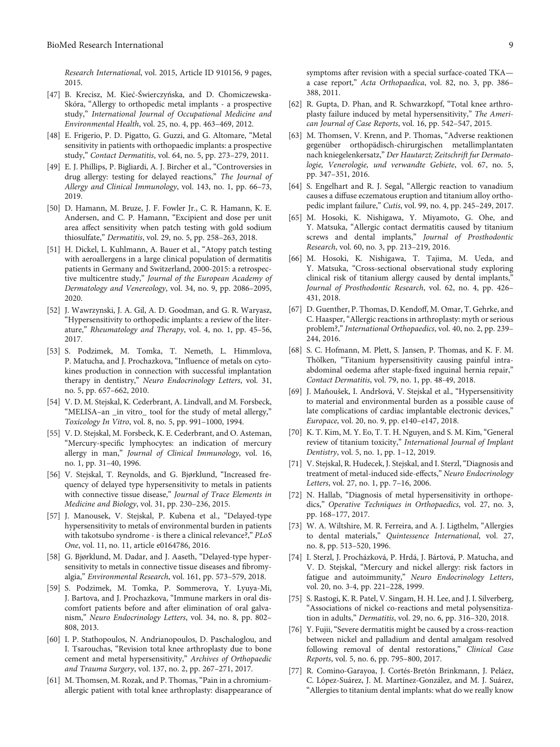<span id="page-8-0"></span>Research International, vol. 2015, Article ID 910156, 9 pages, 2015.

- [47] B. Krecisz, M. Kieć-Świerczyńska, and D. Chomiczewska-Skóra, "Allergy to orthopedic metal implants - a prospective study," International Journal of Occupational Medicine and Environmental Health, vol. 25, no. 4, pp. 463–469, 2012.
- [48] E. Frigerio, P. D. Pigatto, G. Guzzi, and G. Altomare, "Metal sensitivity in patients with orthopaedic implants: a prospective study," Contact Dermatitis, vol. 64, no. 5, pp. 273–279, 2011.
- [49] E. J. Phillips, P. Bigliardi, A. J. Bircher et al., "Controversies in drug allergy: testing for delayed reactions," The Journal of Allergy and Clinical Immunology, vol. 143, no. 1, pp. 66–73, 2019.
- [50] D. Hamann, M. Bruze, J. F. Fowler Jr., C. R. Hamann, K. E. Andersen, and C. P. Hamann, "Excipient and dose per unit area affect sensitivity when patch testing with gold sodium thiosulfate," Dermatitis, vol. 29, no. 5, pp. 258–263, 2018.
- [51] H. Dickel, L. Kuhlmann, A. Bauer et al., "Atopy patch testing with aeroallergens in a large clinical population of dermatitis patients in Germany and Switzerland, 2000-2015: a retrospective multicentre study," Journal of the European Academy of Dermatology and Venereology, vol. 34, no. 9, pp. 2086–2095, 2020.
- [52] J. Wawrzynski, J. A. Gil, A. D. Goodman, and G. R. Waryasz, "Hypersensitivity to orthopedic implants: a review of the literature," Rheumatology and Therapy, vol. 4, no. 1, pp. 45–56, 2017.
- [53] S. Podzimek, M. Tomka, T. Nemeth, L. Himmlova, P. Matucha, and J. Prochazkova, "Influence of metals on cytokines production in connection with successful implantation therapy in dentistry," Neuro Endocrinology Letters, vol. 31, no. 5, pp. 657–662, 2010.
- [54] V. D. M. Stejskal, K. Cederbrant, A. Lindvall, and M. Forsbeck, "MELISA–an \_in vitro\_ tool for the study of metal allergy," Toxicology In Vitro, vol. 8, no. 5, pp. 991–1000, 1994.
- [55] V. D. Stejskal, M. Forsbeck, K. E. Cederbrant, and O. Asteman, "Mercury-specific lymphocytes: an indication of mercury allergy in man," Journal of Clinical Immunology, vol. 16, no. 1, pp. 31–40, 1996.
- [56] V. Stejskal, T. Reynolds, and G. Bjørklund, "Increased frequency of delayed type hypersensitivity to metals in patients with connective tissue disease," Journal of Trace Elements in Medicine and Biology, vol. 31, pp. 230–236, 2015.
- [57] J. Manousek, V. Stejskal, P. Kubena et al., "Delayed-type hypersensitivity to metals of environmental burden in patients with takotsubo syndrome - is there a clinical relevance?," PLoS One, vol. 11, no. 11, article e0164786, 2016.
- [58] G. Bjørklund, M. Dadar, and J. Aaseth, "Delayed-type hypersensitivity to metals in connective tissue diseases and fibromyalgia," Environmental Research, vol. 161, pp. 573–579, 2018.
- [59] S. Podzimek, M. Tomka, P. Sommerova, Y. Lyuya-Mi, J. Bartova, and J. Prochazkova, "Immune markers in oral discomfort patients before and after elimination of oral galvanism," Neuro Endocrinology Letters, vol. 34, no. 8, pp. 802– 808, 2013.
- [60] I. P. Stathopoulos, N. Andrianopoulos, D. Paschaloglou, and I. Tsarouchas, "Revision total knee arthroplasty due to bone cement and metal hypersensitivity," Archives of Orthopaedic and Trauma Surgery, vol. 137, no. 2, pp. 267–271, 2017.
- [61] M. Thomsen, M. Rozak, and P. Thomas, "Pain in a chromiumallergic patient with total knee arthroplasty: disappearance of

symptoms after revision with a special surface-coated TKA a case report," Acta Orthopaedica, vol. 82, no. 3, pp. 386– 388, 2011.

- [62] R. Gupta, D. Phan, and R. Schwarzkopf, "Total knee arthroplasty failure induced by metal hypersensitivity," The American Journal of Case Reports, vol. 16, pp. 542–547, 2015.
- [63] M. Thomsen, V. Krenn, and P. Thomas, "Adverse reaktionen gegenüber orthopädisch-chirurgischen metallimplantaten nach kniegelenkersatz," Der Hautarzt; Zeitschrift fur Dermatologie, Venerologie, und verwandte Gebiete, vol. 67, no. 5, pp. 347–351, 2016.
- [64] S. Engelhart and R. J. Segal, "Allergic reaction to vanadium causes a diffuse eczematous eruption and titanium alloy orthopedic implant failure," Cutis, vol. 99, no. 4, pp. 245–249, 2017.
- [65] M. Hosoki, K. Nishigawa, Y. Miyamoto, G. Ohe, and Y. Matsuka, "Allergic contact dermatitis caused by titanium screws and dental implants," Journal of Prosthodontic Research, vol. 60, no. 3, pp. 213–219, 2016.
- [66] M. Hosoki, K. Nishigawa, T. Tajima, M. Ueda, and Y. Matsuka, "Cross-sectional observational study exploring clinical risk of titanium allergy caused by dental implants, Journal of Prosthodontic Research, vol. 62, no. 4, pp. 426– 431, 2018.
- [67] D. Guenther, P. Thomas, D. Kendoff, M. Omar, T. Gehrke, and C. Haasper,"Allergic reactions in arthroplasty: myth or serious problem?," International Orthopaedics, vol. 40, no. 2, pp. 239– 244, 2016.
- [68] S. C. Hofmann, M. Plett, S. Jansen, P. Thomas, and K. F. M. Thölken, "Titanium hypersensitivity causing painful intraabdominal oedema after staple-fixed inguinal hernia repair," Contact Dermatitis, vol. 79, no. 1, pp. 48-49, 2018.
- [69] J. Maňoušek, I. Andršová, V. Stejskal et al., "Hypersensitivity to material and environmental burden as a possible cause of late complications of cardiac implantable electronic devices," Europace, vol. 20, no. 9, pp. e140–e147, 2018.
- [70] K. T. Kim, M. Y. Eo, T. T. H. Nguyen, and S. M. Kim, "General review of titanium toxicity," International Journal of Implant Dentistry, vol. 5, no. 1, pp. 1–12, 2019.
- [71] V. Stejskal, R. Hudecek, J. Stejskal, and I. Sterzl,"Diagnosis and treatment of metal-induced side-effects," Neuro Endocrinology Letters, vol. 27, no. 1, pp. 7–16, 2006.
- [72] N. Hallab, "Diagnosis of metal hypersensitivity in orthopedics," Operative Techniques in Orthopaedics, vol. 27, no. 3, pp. 168–177, 2017.
- [73] W. A. Wiltshire, M. R. Ferreira, and A. J. Ligthelm, "Allergies to dental materials," Quintessence International, vol. 27, no. 8, pp. 513–520, 1996.
- [74] I. Sterzl, J. Procházková, P. Hrdá, J. Bártová, P. Matucha, and V. D. Stejskal, "Mercury and nickel allergy: risk factors in fatigue and autoimmunity," Neuro Endocrinology Letters, vol. 20, no. 3-4, pp. 221–228, 1999.
- [75] S. Rastogi, K. R. Patel, V. Singam, H. H. Lee, and J. I. Silverberg, "Associations of nickel co-reactions and metal polysensitization in adults," Dermatitis, vol. 29, no. 6, pp. 316–320, 2018.
- [76] Y. Fujii, "Severe dermatitis might be caused by a cross-reaction between nickel and palladium and dental amalgam resolved following removal of dental restorations," Clinical Case Reports, vol. 5, no. 6, pp. 795–800, 2017.
- [77] R. Comino-Garayoa, J. Cortés-Bretón Brinkmann, J. Peláez, C. López-Suárez, J. M. Martínez-González, and M. J. Suárez, "Allergies to titanium dental implants: what do we really know